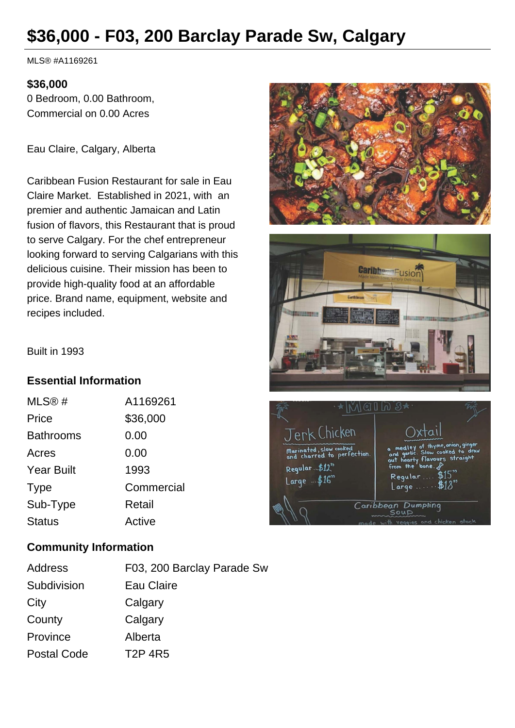# **\$36,000 - F03, 200 Barclay Parade Sw, Calgary**

MLS® #A1169261

#### **\$36,000**

0 Bedroom, 0.00 Bathroom, Commercial on 0.00 Acres

Eau Claire, Calgary, Alberta

Caribbean Fusion Restaurant for sale in Eau Claire Market. Established in 2021, with an premier and authentic Jamaican and Latin fusion of flavors, this Restaurant that is proud to serve Calgary. For the chef entrepreneur looking forward to serving Calgarians with this delicious cuisine. Their mission has been to provide high-quality food at an affordable price. Brand name, equipment, website and recipes included.





Built in 1993

## **Essential Information**

| MLS@#             | A1169261   |
|-------------------|------------|
| Price             | \$36,000   |
| <b>Bathrooms</b>  | 0.00       |
| Acres             | 0.00       |
| <b>Year Built</b> | 1993       |
| <b>Type</b>       | Commercial |
| Sub-Type          | Retail     |
| <b>Status</b>     | Active     |

## **Community Information**

| Address            | F03, 200 Barclay Parade Sw |
|--------------------|----------------------------|
| Subdivision        | Eau Claire                 |
| City               | Calgary                    |
| County             | Calgary                    |
| Province           | Alberta                    |
| <b>Postal Code</b> | <b>T2P 4R5</b>             |